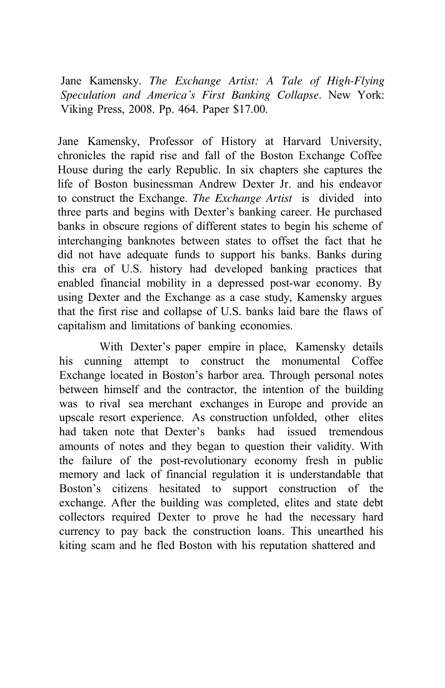Jane Kamensky. *The Exchange Artist: A Tale of High-Flying Speculation and America's First Banking Collapse*. New York: Viking Press, 2008. Pp. 464. Paper \$17.00.

Jane Kamensky, Professor of History at Harvard University, chronicles the rapid rise and fall of the Boston Exchange Coffee House during the early Republic. In six chapters she captures the life of Boston businessman Andrew Dexter Jr. and his endeavor to construct the Exchange. *The Exchange Artist* is divided into three parts and begins with Dexter's banking career. He purchased banks in obscure regions of different states to begin his scheme of interchanging banknotes between states to offset the fact that he did not have adequate funds to support his banks. Banks during this era of U.S. history had developed banking practices that enabled financial mobility in a depressed post-war economy. By using Dexter and the Exchange as a case study, Kamensky argues that the first rise and collapse of U.S. banks laid bare the flaws of capitalism and limitations of banking economies.

With Dexter's paper empire in place, Kamensky details his cunning attempt to construct the monumental Coffee Exchange located in Boston's harbor area. Through personal notes between himself and the contractor, the intention of the building was to rival sea merchant exchanges in Europe and provide an upscale resort experience. As construction unfolded, other elites had taken note that Dexter's banks had issued tremendous amounts of notes and they began to question their validity. With the failure of the post-revolutionary economy fresh in public memory and lack of financial regulation it is understandable that Boston's citizens hesitated to support construction of the exchange. After the building was completed, elites and state debt collectors required Dexter to prove he had the necessary hard currency to pay back the construction loans. This unearthed his kiting scam and he fled Boston with his reputation shattered and